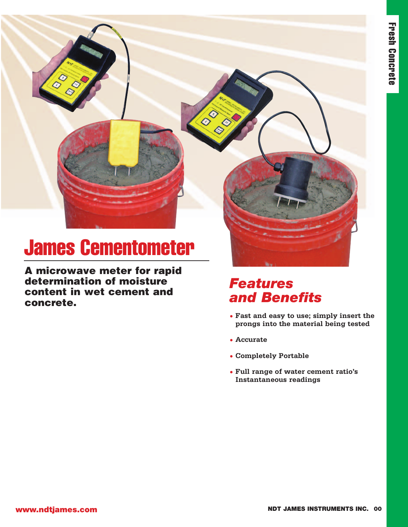# **James Cementometer**

**SP** 

**A microwave meter for rapid determination of moisture content in wet cement and concrete.**

#### *Features and Benefits*

- **• Fast and easy to use; simply insert the prongs into the material being tested**
- **• Accurate**

000

- **• Completely Portable**
- **• Full range of water cement ratio's Instantaneous readings**